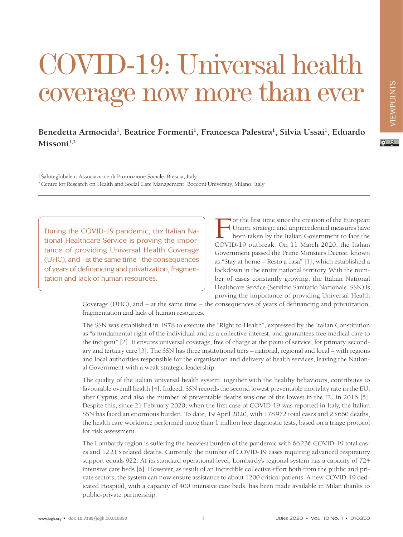## COVID-19: Universal health coverage now more than ever

## Benedetta Armocida<sup>1</sup>, Beatrice Formenti<sup>1</sup>, Francesca Palestra<sup>1</sup>, Silvia Ussai<sup>1</sup>, Eduardo Missoni<sup>1,2</sup>

 $\odot$   $\odot$ 

1 Saluteglobale.it Associazione di Promozione Sociale, Brescia, Italy

2 Centre for Research on Health and Social Care Management, Bocconi University, Milano, Italy

During the COVID-19 pandemic, the Italian National Healthcare Service is proving the importance of providing Universal Health Coverage (UHC), and - at the same time - the consequences of years of definancing and privatization, fragmentation and lack of human resources.

For the first time since the creation of the European<br>Union, strategic and unprecedented measures have<br>been taken by the Italian Government to face the<br>COVID-19 outbreak. On 11 March 2020, the Italian or the first time since the creation of the European Union, strategic and unprecedented measures have been taken by the Italian Government to face the Government passed the Prime Minister's Decree, known as "Stay at home – Resto a casa" [\[1](#page-2-0)], which established a lockdown in the entire national territory. With the number of cases constantly growing, the Italian National Healthcare Service (Servizio Sanitario Nazionale, SSN) is proving the importance of providing Universal Health

Coverage (UHC), and – at the same time – the consequences of years of definancing and privatization, fragmentation and lack of human resources.

The SSN was established in 1978 to execute the "Right to Health", expressed by the Italian Constitution as "a fundamental right of the individual and as a collective interest, and guarantees free medical care to the indigent" [\[2\]](#page-2-1). It ensures universal coverage, free of charge at the point of service, for primary, secondary and tertiary care [\[3\]](#page-2-2). The SSN has three institutional tiers – national, regional and local – with regions and local authorities responsible for the organisation and delivery of health services, leaving the National Government with a weak strategic leadership.

The quality of the Italian universal health system, together with the healthy behaviours, contributes to favourable overall health [\[4\]](#page-2-3). Indeed, SSN records the second lowest preventable mortality rate in the EU, after Cyprus, and also the number of preventable deaths was one of the lowest in the EU in 2016 [[5](#page-2-4)]. Despite this, since 21 February 2020, when the first case of COVID-19 was reported in Italy, the Italian SSN has faced an enormous burden. To date, 19 April 2020, with 178972 total cases and 23660 deaths, the health care workforce performed more than 1 million free diagnostic tests, based on a triage protocol for risk assessment.

The Lombardy region is suffering the heaviest burden of the pandemic with 66236 COVID-19 total cases and 12213 related deaths. Currently, the number of COVID-19 cases requiring advanced respiratory support equals 922. At its standard operational level, Lombardy's regional system has a capacity of 724 intensive care beds [[6](#page-2-5)]. However, as result of an incredible collective effort both from the public and private sectors, the system can now ensure assistance to about 1200 critical patients. A new COVID-19 dedicated Hospital, with a capacity of 400 intensive care beds, has been made available in Milan thanks to public-private partnership.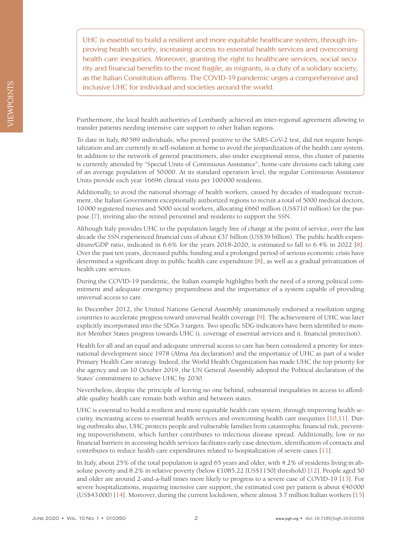UHC is essential to build a resilient and more equitable healthcare system, through improving health security, increasing access to essential health services and overcoming health care inequities. Moreover, granting the right to healthcare services, social security and financial benefits to the most fragile, as migrants, is a duty of a solidary society, as the Italian Constitution affirms. The COVID-19 pandemic urges a comprehensive and inclusive UHC for individual and societies around the world.

Furthermore, the local health authorities of Lombardy achieved an inter-regional agreement allowing to transfer patients needing intensive care support to other Italian regions.

To date in Italy, 80589 individuals, who proved positive to the SARS-CoV-2 test, did not require hospitalization and are currently in self-isolation at home to avoid the jeopardization of the health care system. In addition to the network of general practitioners, also under exceptional stress, this cluster of patients is currently attended by "Special Units of Continuous Assistance", home-care divisions each taking care of an average population of 50000. At its standard operation level, the regular Continuous Assistance Units provide each year 16696 clinical visits per 100000 residents.

Additionally, to avoid the national shortage of health workers, caused by decades of inadequate recruitment, the Italian Government exceptionally authorized regions to recruit a total of 5000 medical doctors, 10000 registered nurses and 5000 social workers, allocating €660 million (US\$710 million) for the purpose [\[7\]](#page-2-6), inviting also the retired personnel and residents to support the SSN.

Although Italy provides UHC to the population largely free of charge at the point of service, over the last decade the SSN experienced financial cuts of about €37 billion (US\$39 billion). The public health expenditure/GDP ratio, indicated in 6.6% for the years 2018-2020, is estimated to fall to 6.4% in 2022 [\[8](#page-3-0)]. Over the past ten years, decreased public funding and a prolonged period of serious economic crisis have determined a significant drop in public health care expenditure [\[8](#page-3-0)], as well as a gradual privatization of health care services.

During the COVID-19 pandemic, the Italian example highlights both the need of a strong political commitment and adequate emergency preparedness and the importance of a system capable of providing universal access to care.

In December 2012, the United Nations General Assembly unanimously endorsed a resolution urging countries to accelerate progress toward universal health coverage [[9](#page-3-1)]. The achievement of UHC was later explicitly incorporated into the SDGs 3 targets. Two specific SDG indicators have been identified to monitor Member States progress towards UHC (i. coverage of essential services and ii. financial protection).

Health for all and an equal and adequate universal access to care has been considered a priority for international development since 1978 (Alma Ata declaration) and the importance of UHC as part of a wider Primary Health Care strategy. Indeed, the World Health Organization has made UHC the top priority for the agency and on 10 October 2019, the UN General Assembly adopted the Political declaration of the States' commitment to achieve UHC by 2030.

Nevertheless, despite the principle of leaving no one behind, substantial inequalities in access to affordable quality health care remain both within and between states.

UHC is essential to build a resilient and more equitable health care system, through improving health security, increasing access to essential health services and overcoming health care inequities [[10](#page-3-2)[,11\]](#page-3-3). During outbreaks also, UHC protects people and vulnerable families from catastrophic financial risk, preventing impoverishment, which further contributes to infectious disease spread. Additionally, low or no financial barriers in accessing health services facilitates early case detection, identification of contacts and contributes to reduce health care expenditures related to hospitalization of severe cases [\[11\]](#page-3-3).

In Italy, about 25% of the total population is aged 65 years and older, with 4.2% of residents living in absolute poverty and 8.2% in relative poverty (below €1085.22 [US\$1150] threshold) [\[12\]](#page-3-4). People aged 50 and older are around 2-and-a-half times more likely to progress to a severe case of COVID-19 [[13](#page-3-5)]. For severe hospitalizations, requiring intensive care support, the estimated cost per patient is about €40000 (US\$43000) [\[14\]](#page-3-6). Moreover, during the current lockdown, where almost 3.7 million Italian workers [\[15](#page-3-7)]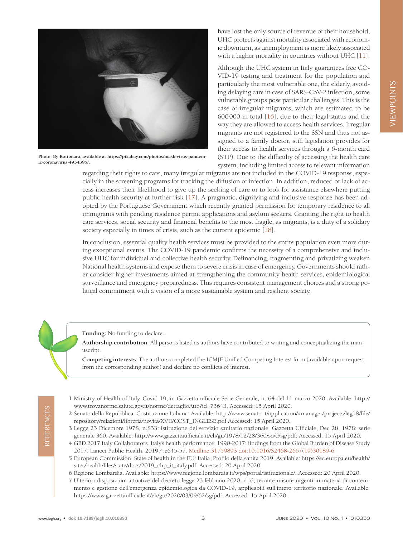

**Photo: By Rottonara, available at [https://pixabay.com/photos/mask-virus-pandem](https://pixabay.com/photos/mask-virus-pandemic-coronavirus-4934395/)[ic-coronavirus-4934395/](https://pixabay.com/photos/mask-virus-pandemic-coronavirus-4934395/).**

have lost the only source of revenue of their household, UHC protects against mortality associated with economic downturn, as unemployment is more likely associated with a higher mortality in countries without UHC [\[11\]](#page-3-3).

Although the UHC system in Italy guarantees free CO-VID-19 testing and treatment for the population and particularly the most vulnerable one, the elderly, avoiding delaying care in case of SARS-CoV-2 infection, some vulnerable groups pose particular challenges. This is the case of irregular migrants, which are estimated to be 600000 in total [\[16](#page-3-8)], due to their legal status and the way they are allowed to access health services. Irregular migrants are not registered to the SSN and thus not assigned to a family doctor, still legislation provides for their access to health services through a 6-month card (STP). Due to the difficulty of accessing the health care system, including limited access to relevant information

regarding their rights to care, many irregular migrants are not included in the COVID-19 response, especially in the screening programs for tracking the diffusion of infection. In addition, reduced or lack of access increases their likelihood to give up the seeking of care or to look for assistance elsewhere putting public health security at further risk [[17\]](#page-3-9). A pragmatic, dignifying and inclusive response has been adopted by the Portuguese Government which recently granted permission for temporary residence to all immigrants with pending residence permit applications and asylum seekers. Granting the right to health care services, social security and financial benefits to the most fragile, as migrants, is a duty of a solidary society especially in times of crisis, such as the current epidemic [[18](#page-2-0)].

In conclusion, essential quality health services must be provided to the entire population even more during exceptional events. The COVID-19 pandemic confirms the necessity of a comprehensive and inclusive UHC for individual and collective health security. Definancing, fragmenting and privatizing weaken National health systems and expose them to severe crisis in case of emergency. Governments should rather consider higher investments aimed at strengthening the community health services, epidemiological surveillance and emergency preparedness. This requires consistent management choices and a strong political commitment with a vision of a more sustainable system and resilient society.

**Funding:** No funding to declare.

**Authorship contribution**: All persons listed as authors have contributed to writing and conceptualizing the manuscript.

**Competing interests**: The authors completed the ICMJE Unified Competing Interest form (available upon request from the corresponding author) and declare no conflicts of interest.

- <span id="page-2-0"></span>1 Ministry of Health of Italy. Covid-19, in Gazzetta ufficiale Serie Generale, n. 64 del 11 marzo 2020. Available: http:// www.trovanorme.salute.gov.it/norme/dettaglioAtto?id=73643. Accessed: 15 April 2020.
- <span id="page-2-1"></span>2 Senato della Repubblica. Costituzione Italiana. Available: [http://www.senato.it/application/xmanager/projects/leg18/file/](http://www.senato.it/application/xmanager/projects/leg18/file/repository/relazioni/libreria/novita/XVII/COST_INGLESE.pdf) [repository/relazioni/libreria/novita/XVII/COST\\_INGLESE.pdf](http://www.senato.it/application/xmanager/projects/leg18/file/repository/relazioni/libreria/novita/XVII/COST_INGLESE.pdf) Accessed: 15 April 2020.
- <span id="page-2-2"></span>3 Legge 23 Dicembre 1978, n.833: istituzione del servizio sanitario nazionale. Gazzetta Ufficiale, Dec 28, 1978: serie generale 360. Available: http://www.gazzettaufficiale.it/eli/gu/1978/12/28/360/so/0/sg/pdf. Accessed: 15 April 2020.
- <span id="page-2-3"></span>4 GBD 2017 Italy Collaborators. Italy's health performance, 1990-2017: findings from the Global Burden of Disease Study 2017. Lancet Public Health. 2019;4:e645-57. [Medline:31759893](https://www.ncbi.nlm.nih.gov/entrez/query.fcgi?cmd=Retrieve&db=PubMed&list_uids=31759893&dopt=Abstract) [doi:10.1016/S2468-2667\(19\)30189-6](https://doi.org/10.1016/S2468-2667(19)30189-6)
- <span id="page-2-4"></span>5 European Commission. State of health in the EU: Italia. Profilo della sanità 2019. Available: [https://ec.europa.eu/health/](https://ec.europa.eu/health/sites/health/files/state/docs/2019_chp_it_italy.pdf) [sites/health/files/state/docs/2019\\_chp\\_it\\_italy.pdf.](https://ec.europa.eu/health/sites/health/files/state/docs/2019_chp_it_italy.pdf) Accessed: 20 April 2020.
- <span id="page-2-5"></span>6 Regione Lombardia. Available: https://www.regione.lombardia.it/wps/portal/istituzionale/. Accessed: 20 April 2020.
- <span id="page-2-6"></span>7 Ulteriori disposizioni attuative del decreto-legge 23 febbraio 2020, n. 6, recante misure urgenti in materia di contenimento e gestione dell'emergenza epidemiologica da COVID-19, applicabili sull'intero territorio nazionale. Available: https://www.gazzettaufficiale.it/eli/gu/2020/03/09/62/sg/pdf. Accessed: 15 April 2020.